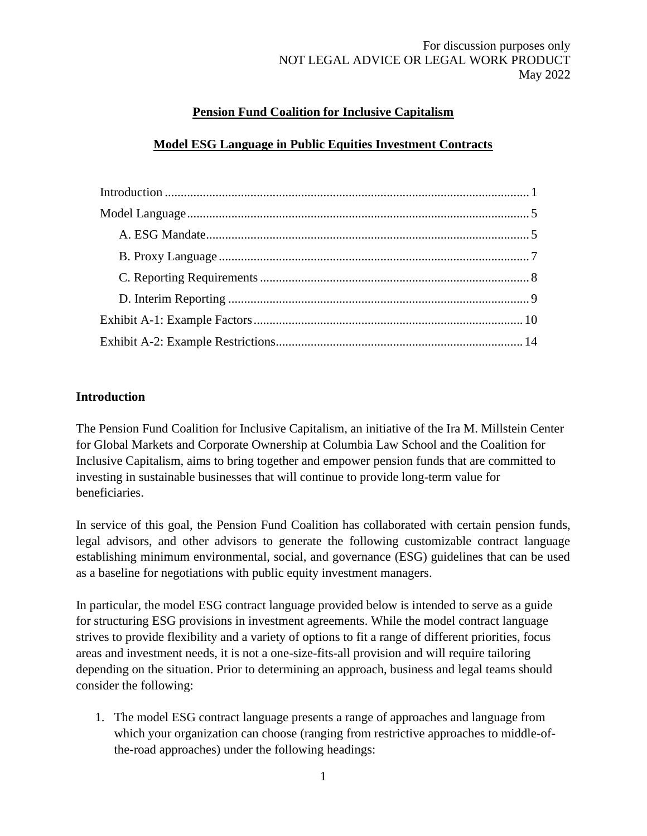## **Pension Fund Coalition for Inclusive Capitalism**

### **Model ESG Language in Public Equities Investment Contracts**

#### <span id="page-0-0"></span>**Introduction**

The Pension Fund Coalition for Inclusive Capitalism, an initiative of the Ira M. Millstein Center for Global Markets and Corporate Ownership at Columbia Law School and the Coalition for Inclusive Capitalism, aims to bring together and empower pension funds that are committed to investing in sustainable businesses that will continue to provide long-term value for beneficiaries.

In service of this goal, the Pension Fund Coalition has collaborated with certain pension funds, legal advisors, and other advisors to generate the following customizable contract language establishing minimum environmental, social, and governance (ESG) guidelines that can be used as a baseline for negotiations with public equity investment managers.

In particular, the model ESG contract language provided below is intended to serve as a guide for structuring ESG provisions in investment agreements. While the model contract language strives to provide flexibility and a variety of options to fit a range of different priorities, focus areas and investment needs, it is not a one-size-fits-all provision and will require tailoring depending on the situation. Prior to determining an approach, business and legal teams should consider the following:

1. The model ESG contract language presents a range of approaches and language from which your organization can choose (ranging from restrictive approaches to middle-ofthe-road approaches) under the following headings: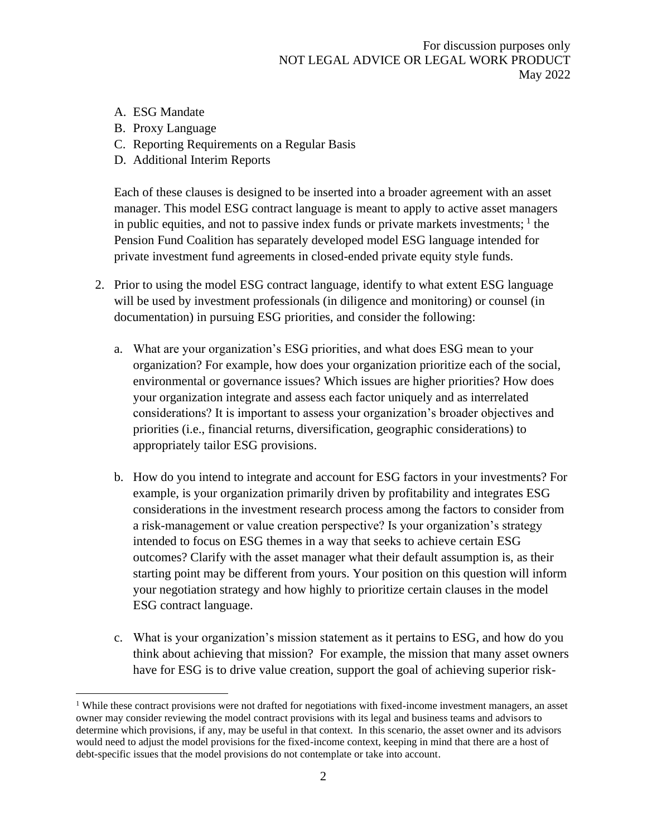- A. ESG Mandate
- B. Proxy Language
- C. Reporting Requirements on a Regular Basis
- D. Additional Interim Reports

Each of these clauses is designed to be inserted into a broader agreement with an asset manager. This model ESG contract language is meant to apply to active asset managers in public equities, and not to passive index funds or private markets investments;  $\frac{1}{1}$  the Pension Fund Coalition has separately developed model ESG language intended for private investment fund agreements in closed-ended private equity style funds.

- 2. Prior to using the model ESG contract language, identify to what extent ESG language will be used by investment professionals (in diligence and monitoring) or counsel (in documentation) in pursuing ESG priorities, and consider the following:
	- a. What are your organization's ESG priorities, and what does ESG mean to your organization? For example, how does your organization prioritize each of the social, environmental or governance issues? Which issues are higher priorities? How does your organization integrate and assess each factor uniquely and as interrelated considerations? It is important to assess your organization's broader objectives and priorities (i.e., financial returns, diversification, geographic considerations) to appropriately tailor ESG provisions.
	- b. How do you intend to integrate and account for ESG factors in your investments? For example, is your organization primarily driven by profitability and integrates ESG considerations in the investment research process among the factors to consider from a risk-management or value creation perspective? Is your organization's strategy intended to focus on ESG themes in a way that seeks to achieve certain ESG outcomes? Clarify with the asset manager what their default assumption is, as their starting point may be different from yours. Your position on this question will inform your negotiation strategy and how highly to prioritize certain clauses in the model ESG contract language.
	- c. What is your organization's mission statement as it pertains to ESG, and how do you think about achieving that mission? For example, the mission that many asset owners have for ESG is to drive value creation, support the goal of achieving superior risk-

<sup>&</sup>lt;sup>1</sup> While these contract provisions were not drafted for negotiations with fixed-income investment managers, an asset owner may consider reviewing the model contract provisions with its legal and business teams and advisors to determine which provisions, if any, may be useful in that context. In this scenario, the asset owner and its advisors would need to adjust the model provisions for the fixed-income context, keeping in mind that there are a host of debt-specific issues that the model provisions do not contemplate or take into account.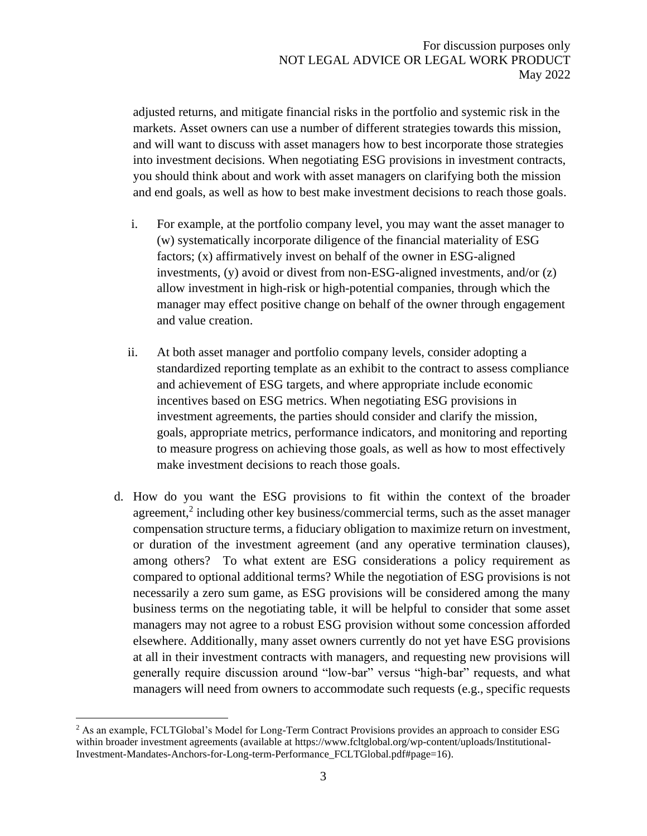adjusted returns, and mitigate financial risks in the portfolio and systemic risk in the markets. Asset owners can use a number of different strategies towards this mission, and will want to discuss with asset managers how to best incorporate those strategies into investment decisions. When negotiating ESG provisions in investment contracts, you should think about and work with asset managers on clarifying both the mission and end goals, as well as how to best make investment decisions to reach those goals.

- i. For example, at the portfolio company level, you may want the asset manager to (w) systematically incorporate diligence of the financial materiality of ESG factors; (x) affirmatively invest on behalf of the owner in ESG-aligned investments, (y) avoid or divest from non-ESG-aligned investments, and/or (z) allow investment in high-risk or high-potential companies, through which the manager may effect positive change on behalf of the owner through engagement and value creation.
- ii. At both asset manager and portfolio company levels, consider adopting a standardized reporting template as an exhibit to the contract to assess compliance and achievement of ESG targets, and where appropriate include economic incentives based on ESG metrics. When negotiating ESG provisions in investment agreements, the parties should consider and clarify the mission, goals, appropriate metrics, performance indicators, and monitoring and reporting to measure progress on achieving those goals, as well as how to most effectively make investment decisions to reach those goals.
- d. How do you want the ESG provisions to fit within the context of the broader agreement,<sup>2</sup> including other key business/commercial terms, such as the asset manager compensation structure terms, a fiduciary obligation to maximize return on investment, or duration of the investment agreement (and any operative termination clauses), among others? To what extent are ESG considerations a policy requirement as compared to optional additional terms? While the negotiation of ESG provisions is not necessarily a zero sum game, as ESG provisions will be considered among the many business terms on the negotiating table, it will be helpful to consider that some asset managers may not agree to a robust ESG provision without some concession afforded elsewhere. Additionally, many asset owners currently do not yet have ESG provisions at all in their investment contracts with managers, and requesting new provisions will generally require discussion around "low-bar" versus "high-bar" requests, and what managers will need from owners to accommodate such requests (e.g., specific requests

<sup>&</sup>lt;sup>2</sup> As an example, FCLTGlobal's Model for Long-Term Contract Provisions provides an approach to consider ESG within broader investment agreements (available at https://www.fcltglobal.org/wp-content/uploads/Institutional-Investment-Mandates-Anchors-for-Long-term-Performance\_FCLTGlobal.pdf#page=16).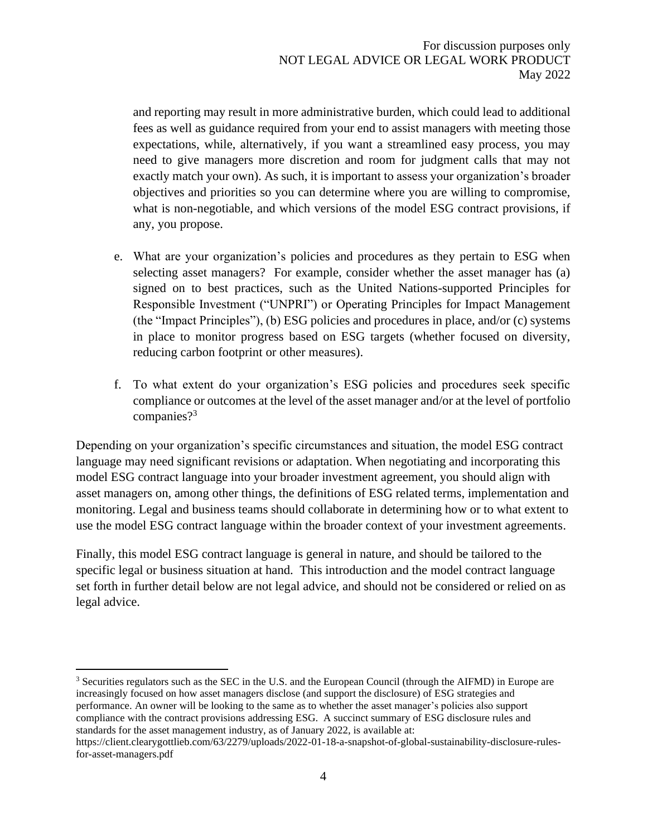and reporting may result in more administrative burden, which could lead to additional fees as well as guidance required from your end to assist managers with meeting those expectations, while, alternatively, if you want a streamlined easy process, you may need to give managers more discretion and room for judgment calls that may not exactly match your own). As such, it is important to assess your organization's broader objectives and priorities so you can determine where you are willing to compromise, what is non-negotiable, and which versions of the model ESG contract provisions, if any, you propose.

- e. What are your organization's policies and procedures as they pertain to ESG when selecting asset managers? For example, consider whether the asset manager has (a) signed on to best practices, such as the United Nations-supported Principles for Responsible Investment ("UNPRI") or Operating Principles for Impact Management (the "Impact Principles"), (b) ESG policies and procedures in place, and/or (c) systems in place to monitor progress based on ESG targets (whether focused on diversity, reducing carbon footprint or other measures).
- f. To what extent do your organization's ESG policies and procedures seek specific compliance or outcomes at the level of the asset manager and/or at the level of portfolio companies?<sup>3</sup>

Depending on your organization's specific circumstances and situation, the model ESG contract language may need significant revisions or adaptation. When negotiating and incorporating this model ESG contract language into your broader investment agreement, you should align with asset managers on, among other things, the definitions of ESG related terms, implementation and monitoring. Legal and business teams should collaborate in determining how or to what extent to use the model ESG contract language within the broader context of your investment agreements.

Finally, this model ESG contract language is general in nature, and should be tailored to the specific legal or business situation at hand. This introduction and the model contract language set forth in further detail below are not legal advice, and should not be considered or relied on as legal advice.

<sup>&</sup>lt;sup>3</sup> Securities regulators such as the SEC in the U.S. and the European Council (through the AIFMD) in Europe are increasingly focused on how asset managers disclose (and support the disclosure) of ESG strategies and performance. An owner will be looking to the same as to whether the asset manager's policies also support compliance with the contract provisions addressing ESG. A succinct summary of ESG disclosure rules and standards for the asset management industry, as of January 2022, is available at:

https://client.clearygottlieb.com/63/2279/uploads/2022-01-18-a-snapshot-of-global-sustainability-disclosure-rulesfor-asset-managers.pdf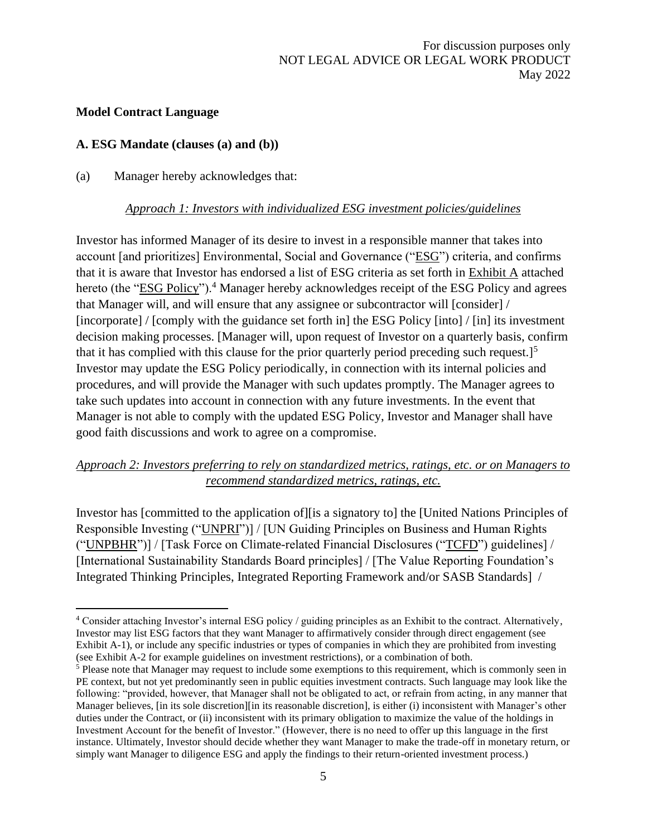### <span id="page-4-0"></span>**Model Contract Language**

### <span id="page-4-1"></span>**A. ESG Mandate (clauses (a) and (b))**

#### (a) Manager hereby acknowledges that:

#### *Approach 1: Investors with individualized ESG investment policies/guidelines*

Investor has informed Manager of its desire to invest in a responsible manner that takes into account [and prioritizes] Environmental, Social and Governance ("ESG") criteria, and confirms that it is aware that Investor has endorsed a list of ESG criteria as set forth in Exhibit A attached hereto (the "ESG Policy").<sup>4</sup> Manager hereby acknowledges receipt of the ESG Policy and agrees that Manager will, and will ensure that any assignee or subcontractor will [consider] / [incorporate] / [comply with the guidance set forth in] the ESG Policy [into] / [in] its investment decision making processes. [Manager will, upon request of Investor on a quarterly basis, confirm that it has complied with this clause for the prior quarterly period preceding such request.]<sup>5</sup> Investor may update the ESG Policy periodically, in connection with its internal policies and procedures, and will provide the Manager with such updates promptly. The Manager agrees to take such updates into account in connection with any future investments. In the event that Manager is not able to comply with the updated ESG Policy, Investor and Manager shall have good faith discussions and work to agree on a compromise.

## *Approach 2: Investors preferring to rely on standardized metrics, ratings, etc. or on Managers to recommend standardized metrics, ratings, etc.*

Investor has [committed to the application of][is a signatory to] the [United Nations Principles of Responsible Investing ("UNPRI")] / [UN Guiding Principles on Business and Human Rights ("UNPBHR")] / [Task Force on Climate-related Financial Disclosures ("TCFD") guidelines] / [International Sustainability Standards Board principles] / [The Value Reporting Foundation's Integrated Thinking Principles, Integrated Reporting Framework and/or SASB Standards] /

<sup>4</sup> Consider attaching Investor's internal ESG policy / guiding principles as an Exhibit to the contract. Alternatively, Investor may list ESG factors that they want Manager to affirmatively consider through direct engagement (see Exhibit A-1), or include any specific industries or types of companies in which they are prohibited from investing (see Exhibit A-2 for example guidelines on investment restrictions), or a combination of both.

<sup>5</sup> Please note that Manager may request to include some exemptions to this requirement, which is commonly seen in PE context, but not yet predominantly seen in public equities investment contracts. Such language may look like the following: "provided, however, that Manager shall not be obligated to act, or refrain from acting, in any manner that Manager believes, [in its sole discretion][in its reasonable discretion], is either (i) inconsistent with Manager's other duties under the Contract, or (ii) inconsistent with its primary obligation to maximize the value of the holdings in Investment Account for the benefit of Investor." (However, there is no need to offer up this language in the first instance. Ultimately, Investor should decide whether they want Manager to make the trade-off in monetary return, or simply want Manager to diligence ESG and apply the findings to their return-oriented investment process.)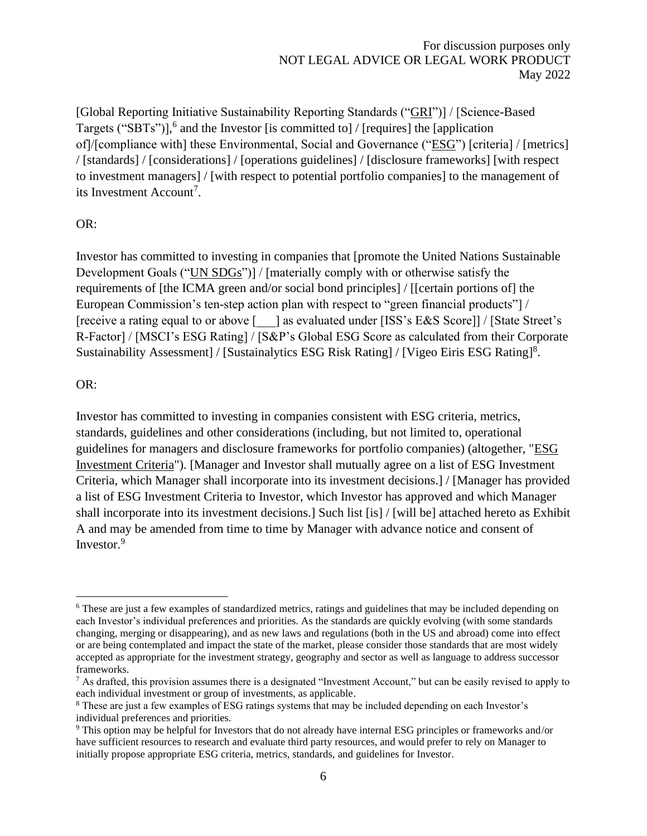[Global Reporting Initiative Sustainability Reporting Standards ("GRI")] / [Science-Based Targets ("SBTs")], 6 and the Investor [is committed to] / [requires] the [application of]/[compliance with] these Environmental, Social and Governance ("ESG") [criteria] / [metrics] / [standards] / [considerations] / [operations guidelines] / [disclosure frameworks] [with respect to investment managers] / [with respect to potential portfolio companies] to the management of its Investment Account<sup>7</sup>.

#### OR:

Investor has committed to investing in companies that [promote the United Nations Sustainable Development Goals ("UN SDGs")] / [materially comply with or otherwise satisfy the requirements of [the ICMA green and/or social bond principles] / [[certain portions of] the European Commission's ten-step action plan with respect to "green financial products"] / [receive a rating equal to or above [  $\Box$ ] as evaluated under [ISS's E&S Score]] / [State Street's R-Factor] / [MSCI's ESG Rating] / [S&P's Global ESG Score as calculated from their Corporate Sustainability Assessment] / [Sustainalytics ESG Risk Rating] / [Vigeo Eiris ESG Rating]<sup>8</sup>.

#### OR:

Investor has committed to investing in companies consistent with ESG criteria, metrics, standards, guidelines and other considerations (including, but not limited to, operational guidelines for managers and disclosure frameworks for portfolio companies) (altogether, "ESG Investment Criteria"). [Manager and Investor shall mutually agree on a list of ESG Investment Criteria, which Manager shall incorporate into its investment decisions.] / [Manager has provided a list of ESG Investment Criteria to Investor, which Investor has approved and which Manager shall incorporate into its investment decisions.] Such list [is] / [will be] attached hereto as Exhibit A and may be amended from time to time by Manager with advance notice and consent of Investor.<sup>9</sup>

<sup>6</sup> These are just a few examples of standardized metrics, ratings and guidelines that may be included depending on each Investor's individual preferences and priorities. As the standards are quickly evolving (with some standards changing, merging or disappearing), and as new laws and regulations (both in the US and abroad) come into effect or are being contemplated and impact the state of the market, please consider those standards that are most widely accepted as appropriate for the investment strategy, geography and sector as well as language to address successor frameworks.

 $^7$  As drafted, this provision assumes there is a designated "Investment Account," but can be easily revised to apply to each individual investment or group of investments, as applicable.

<sup>8</sup> These are just a few examples of ESG ratings systems that may be included depending on each Investor's individual preferences and priorities.

<sup>9</sup> This option may be helpful for Investors that do not already have internal ESG principles or frameworks and/or have sufficient resources to research and evaluate third party resources, and would prefer to rely on Manager to initially propose appropriate ESG criteria, metrics, standards, and guidelines for Investor.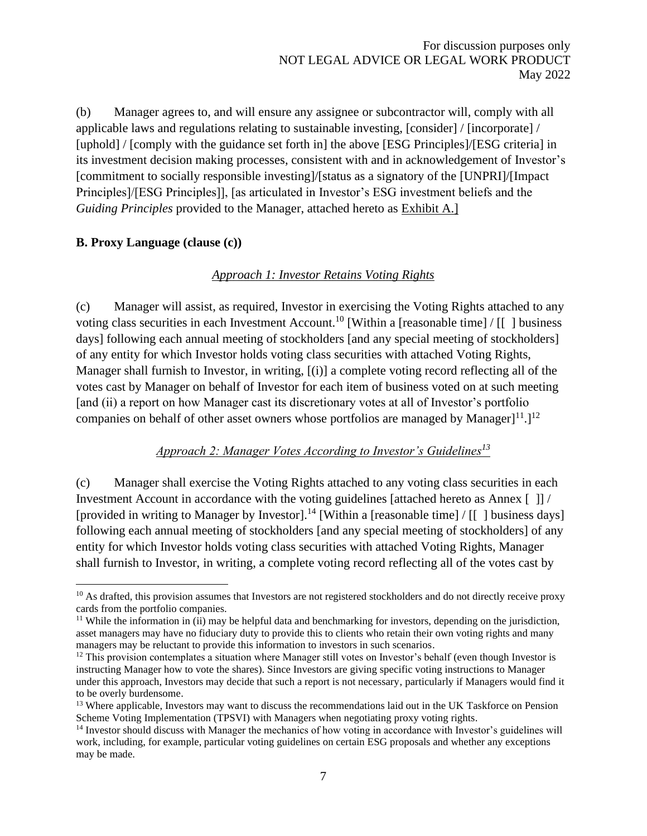(b) Manager agrees to, and will ensure any assignee or subcontractor will, comply with all applicable laws and regulations relating to sustainable investing, [consider] / [incorporate] / [uphold] / [comply with the guidance set forth in] the above [ESG Principles]/[ESG criteria] in its investment decision making processes, consistent with and in acknowledgement of Investor's [commitment to socially responsible investing]/[status as a signatory of the [UNPRI]/[Impact Principles]/[ESG Principles]], [as articulated in Investor's ESG investment beliefs and the *Guiding Principles* provided to the Manager, attached hereto as Exhibit A.]

#### <span id="page-6-0"></span>**B. Proxy Language (clause (c))**

#### *Approach 1: Investor Retains Voting Rights*

(c) Manager will assist, as required, Investor in exercising the Voting Rights attached to any voting class securities in each Investment Account.<sup>10</sup> [Within a [reasonable time] / [[ ] business days] following each annual meeting of stockholders [and any special meeting of stockholders] of any entity for which Investor holds voting class securities with attached Voting Rights, Manager shall furnish to Investor, in writing, [(i)] a complete voting record reflecting all of the votes cast by Manager on behalf of Investor for each item of business voted on at such meeting [and (ii) a report on how Manager cast its discretionary votes at all of Investor's portfolio companies on behalf of other asset owners whose portfolios are managed by Manager $]^{11}.$ <sup>12</sup>

# *Approach 2: Manager Votes According to Investor's Guidelines<sup>13</sup>*

(c) Manager shall exercise the Voting Rights attached to any voting class securities in each Investment Account in accordance with the voting guidelines [attached hereto as Annex [ ]] / [provided in writing to Manager by Investor].<sup>14</sup> [Within a [reasonable time] / [[ ] business days] following each annual meeting of stockholders [and any special meeting of stockholders] of any entity for which Investor holds voting class securities with attached Voting Rights, Manager shall furnish to Investor, in writing, a complete voting record reflecting all of the votes cast by

 $10$  As drafted, this provision assumes that Investors are not registered stockholders and do not directly receive proxy cards from the portfolio companies.

<sup>&</sup>lt;sup>11</sup> While the information in (ii) may be helpful data and benchmarking for investors, depending on the jurisdiction, asset managers may have no fiduciary duty to provide this to clients who retain their own voting rights and many managers may be reluctant to provide this information to investors in such scenarios.

 $12$  This provision contemplates a situation where Manager still votes on Investor's behalf (even though Investor is instructing Manager how to vote the shares). Since Investors are giving specific voting instructions to Manager under this approach, Investors may decide that such a report is not necessary, particularly if Managers would find it to be overly burdensome.

<sup>&</sup>lt;sup>13</sup> Where applicable, Investors may want to discuss the recommendations laid out in the UK Taskforce on Pension Scheme Voting Implementation (TPSVI) with Managers when negotiating proxy voting rights.

<sup>&</sup>lt;sup>14</sup> Investor should discuss with Manager the mechanics of how voting in accordance with Investor's guidelines will work, including, for example, particular voting guidelines on certain ESG proposals and whether any exceptions may be made.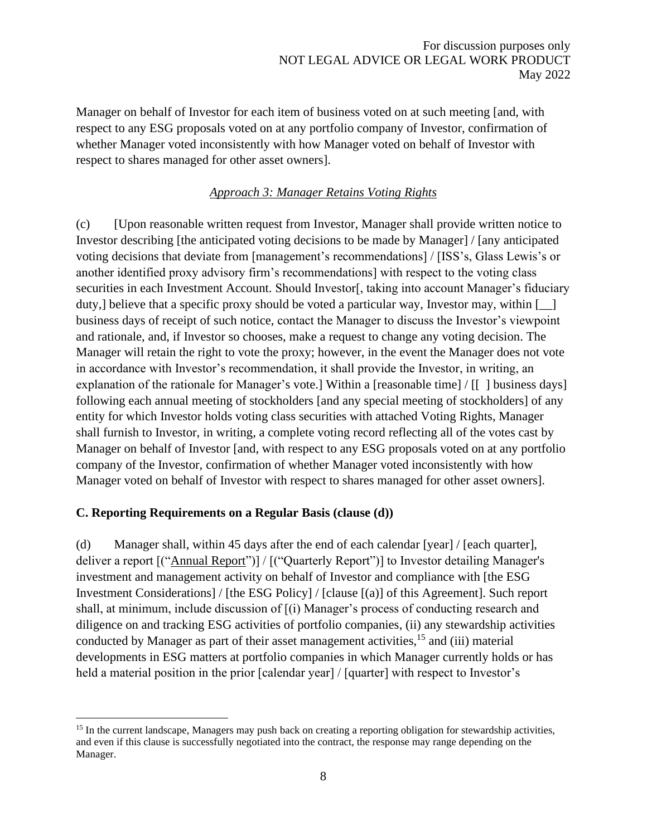Manager on behalf of Investor for each item of business voted on at such meeting [and, with respect to any ESG proposals voted on at any portfolio company of Investor, confirmation of whether Manager voted inconsistently with how Manager voted on behalf of Investor with respect to shares managed for other asset owners].

## *Approach 3: Manager Retains Voting Rights*

(c) [Upon reasonable written request from Investor, Manager shall provide written notice to Investor describing [the anticipated voting decisions to be made by Manager] / [any anticipated voting decisions that deviate from [management's recommendations] / [ISS's, Glass Lewis's or another identified proxy advisory firm's recommendations] with respect to the voting class securities in each Investment Account. Should Investor[, taking into account Manager's fiduciary duty,] believe that a specific proxy should be voted a particular way, Investor may, within  $\lceil \quad \rceil$ business days of receipt of such notice, contact the Manager to discuss the Investor's viewpoint and rationale, and, if Investor so chooses, make a request to change any voting decision. The Manager will retain the right to vote the proxy; however, in the event the Manager does not vote in accordance with Investor's recommendation, it shall provide the Investor, in writing, an explanation of the rationale for Manager's vote.] Within a [reasonable time] / [[ ] business days] following each annual meeting of stockholders [and any special meeting of stockholders] of any entity for which Investor holds voting class securities with attached Voting Rights, Manager shall furnish to Investor, in writing, a complete voting record reflecting all of the votes cast by Manager on behalf of Investor [and, with respect to any ESG proposals voted on at any portfolio company of the Investor, confirmation of whether Manager voted inconsistently with how Manager voted on behalf of Investor with respect to shares managed for other asset owners].

## <span id="page-7-0"></span>**C. Reporting Requirements on a Regular Basis (clause (d))**

(d) Manager shall, within 45 days after the end of each calendar [year] / [each quarter], deliver a report [("Annual Report")] / [("Quarterly Report")] to Investor detailing Manager's investment and management activity on behalf of Investor and compliance with [the ESG Investment Considerations] / [the ESG Policy] / [clause [(a)] of this Agreement]. Such report shall, at minimum, include discussion of [(i) Manager's process of conducting research and diligence on and tracking ESG activities of portfolio companies, (ii) any stewardship activities conducted by Manager as part of their asset management activities,  $^{15}$  and (iii) material developments in ESG matters at portfolio companies in which Manager currently holds or has held a material position in the prior [calendar year] / [quarter] with respect to Investor's

<sup>&</sup>lt;sup>15</sup> In the current landscape, Managers may push back on creating a reporting obligation for stewardship activities, and even if this clause is successfully negotiated into the contract, the response may range depending on the Manager.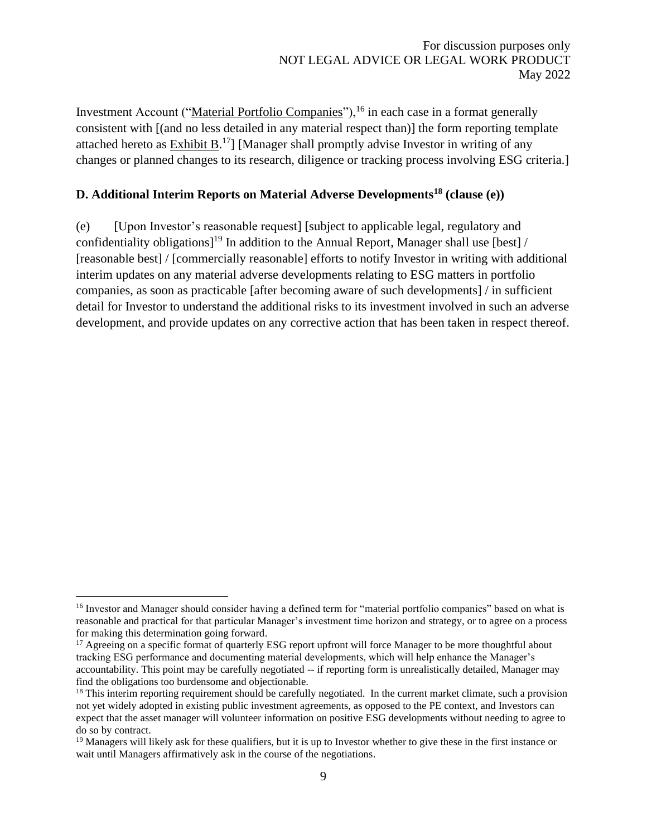Investment Account ("Material Portfolio Companies"), <sup>16</sup> in each case in a format generally consistent with [(and no less detailed in any material respect than)] the form reporting template attached hereto as  $Exhibit B<sup>17</sup>$ ] [Manager shall promptly advise Investor in writing of any</u> changes or planned changes to its research, diligence or tracking process involving ESG criteria.]

# <span id="page-8-0"></span>**D. Additional Interim Reports on Material Adverse Developments<sup>18</sup> (clause (e))**

(e) [Upon Investor's reasonable request] [subject to applicable legal, regulatory and confidentiality obligations]<sup>19</sup> In addition to the Annual Report, Manager shall use [best] / [reasonable best] / [commercially reasonable] efforts to notify Investor in writing with additional interim updates on any material adverse developments relating to ESG matters in portfolio companies, as soon as practicable [after becoming aware of such developments] / in sufficient detail for Investor to understand the additional risks to its investment involved in such an adverse development, and provide updates on any corrective action that has been taken in respect thereof.

<sup>&</sup>lt;sup>16</sup> Investor and Manager should consider having a defined term for "material portfolio companies" based on what is reasonable and practical for that particular Manager's investment time horizon and strategy, or to agree on a process for making this determination going forward.

<sup>&</sup>lt;sup>17</sup> Agreeing on a specific format of quarterly ESG report upfront will force Manager to be more thoughtful about tracking ESG performance and documenting material developments, which will help enhance the Manager's accountability. This point may be carefully negotiated -- if reporting form is unrealistically detailed, Manager may find the obligations too burdensome and objectionable.

<sup>&</sup>lt;sup>18</sup> This interim reporting requirement should be carefully negotiated. In the current market climate, such a provision not yet widely adopted in existing public investment agreements, as opposed to the PE context, and Investors can expect that the asset manager will volunteer information on positive ESG developments without needing to agree to do so by contract.

<sup>&</sup>lt;sup>19</sup> Managers will likely ask for these qualifiers, but it is up to Investor whether to give these in the first instance or wait until Managers affirmatively ask in the course of the negotiations.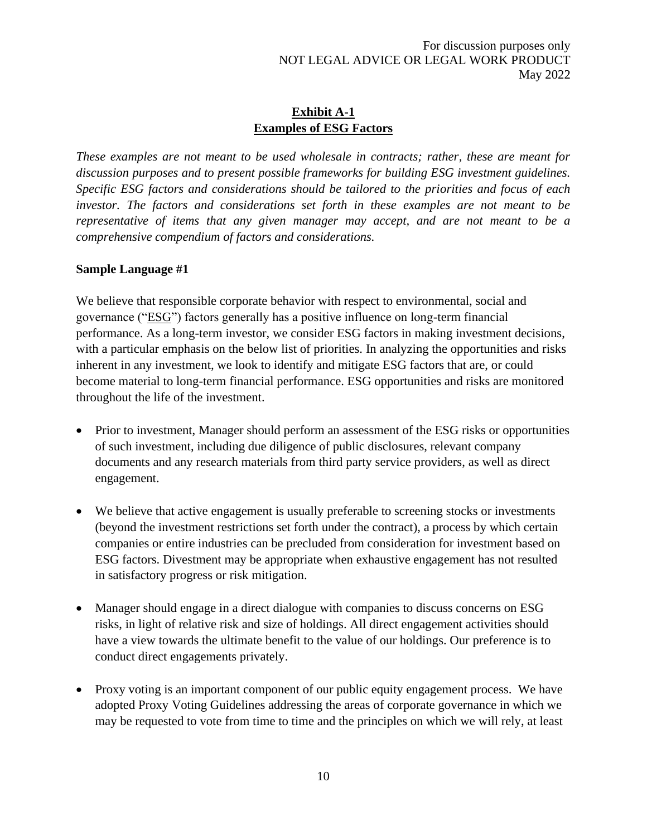## **Exhibit A-1 Examples of ESG Factors**

<span id="page-9-0"></span>*These examples are not meant to be used wholesale in contracts; rather, these are meant for discussion purposes and to present possible frameworks for building ESG investment guidelines. Specific ESG factors and considerations should be tailored to the priorities and focus of each investor. The factors and considerations set forth in these examples are not meant to be representative of items that any given manager may accept, and are not meant to be a comprehensive compendium of factors and considerations.* 

#### **Sample Language #1**

We believe that responsible corporate behavior with respect to environmental, social and governance ("ESG") factors generally has a positive influence on long-term financial performance. As a long-term investor, we consider ESG factors in making investment decisions, with a particular emphasis on the below list of priorities. In analyzing the opportunities and risks inherent in any investment, we look to identify and mitigate ESG factors that are, or could become material to long-term financial performance. ESG opportunities and risks are monitored throughout the life of the investment.

- Prior to investment, Manager should perform an assessment of the ESG risks or opportunities of such investment, including due diligence of public disclosures, relevant company documents and any research materials from third party service providers, as well as direct engagement.
- We believe that active engagement is usually preferable to screening stocks or investments (beyond the investment restrictions set forth under the contract), a process by which certain companies or entire industries can be precluded from consideration for investment based on ESG factors. Divestment may be appropriate when exhaustive engagement has not resulted in satisfactory progress or risk mitigation.
- Manager should engage in a direct dialogue with companies to discuss concerns on ESG risks, in light of relative risk and size of holdings. All direct engagement activities should have a view towards the ultimate benefit to the value of our holdings. Our preference is to conduct direct engagements privately.
- Proxy voting is an important component of our public equity engagement process. We have adopted Proxy Voting Guidelines addressing the areas of corporate governance in which we may be requested to vote from time to time and the principles on which we will rely, at least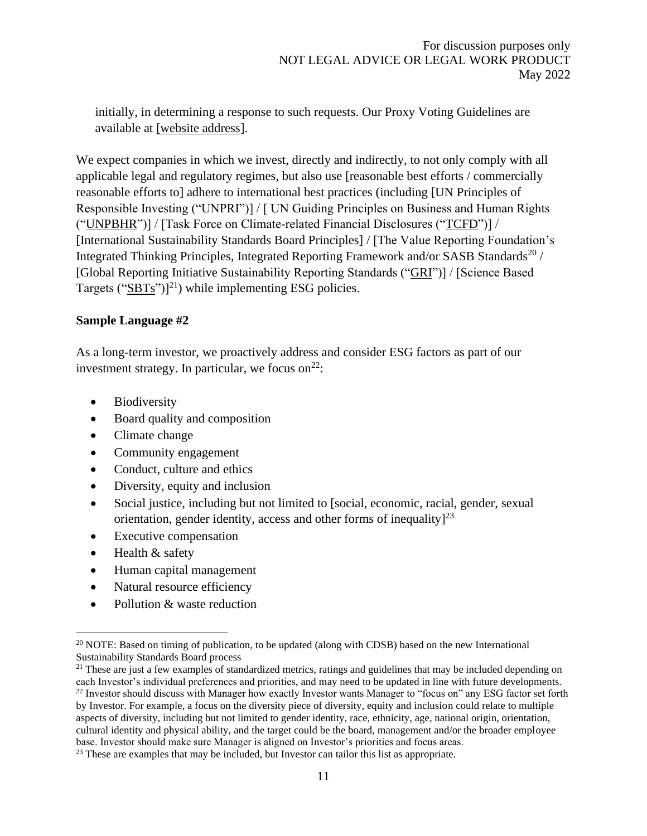initially, in determining a response to such requests. Our Proxy Voting Guidelines are available at [website address].

We expect companies in which we invest, directly and indirectly, to not only comply with all applicable legal and regulatory regimes, but also use [reasonable best efforts / commercially reasonable efforts to] adhere to international best practices (including [UN Principles of Responsible Investing ("UNPRI")] / [ UN Guiding Principles on Business and Human Rights ("UNPBHR")] / [Task Force on Climate-related Financial Disclosures ("TCFD")] / [International Sustainability Standards Board Principles] / [The Value Reporting Foundation's Integrated Thinking Principles, Integrated Reporting Framework and/or SASB Standards<sup>20</sup> / [Global Reporting Initiative Sustainability Reporting Standards ("GRI")] / [Science Based Targets ("SBTs")]<sup>21</sup>) while implementing ESG policies.

#### **Sample Language #2**

As a long-term investor, we proactively address and consider ESG factors as part of our investment strategy. In particular, we focus on  $2^2$ :

- Biodiversity
- Board quality and composition
- Climate change
- Community engagement
- Conduct, culture and ethics
- Diversity, equity and inclusion
- Social justice, including but not limited to [social, economic, racial, gender, sexual orientation, gender identity, access and other forms of inequality $]^{23}$
- **Executive compensation**
- Health & safety
- Human capital management
- Natural resource efficiency
- Pollution & waste reduction

<sup>&</sup>lt;sup>20</sup> NOTE: Based on timing of publication, to be updated (along with CDSB) based on the new International Sustainability Standards Board process

 $21$  These are just a few examples of standardized metrics, ratings and guidelines that may be included depending on each Investor's individual preferences and priorities, and may need to be updated in line with future developments. <sup>22</sup> Investor should discuss with Manager how exactly Investor wants Manager to "focus on" any ESG factor set forth by Investor. For example, a focus on the diversity piece of diversity, equity and inclusion could relate to multiple aspects of diversity, including but not limited to gender identity, race, ethnicity, age, national origin, orientation, cultural identity and physical ability, and the target could be the board, management and/or the broader employee base. Investor should make sure Manager is aligned on Investor's priorities and focus areas.

<sup>&</sup>lt;sup>23</sup> These are examples that may be included, but Investor can tailor this list as appropriate.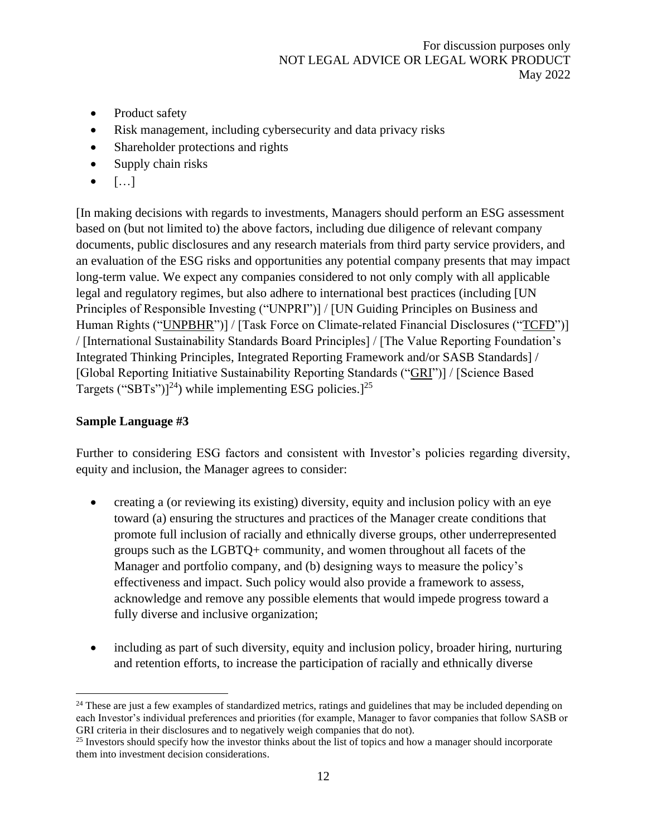- Product safety
- Risk management, including cybersecurity and data privacy risks
- Shareholder protections and rights
- Supply chain risks
- $\bullet$  [...]

[In making decisions with regards to investments, Managers should perform an ESG assessment based on (but not limited to) the above factors, including due diligence of relevant company documents, public disclosures and any research materials from third party service providers, and an evaluation of the ESG risks and opportunities any potential company presents that may impact long-term value. We expect any companies considered to not only comply with all applicable legal and regulatory regimes, but also adhere to international best practices (including [UN Principles of Responsible Investing ("UNPRI")] / [UN Guiding Principles on Business and Human Rights ("UNPBHR")] / [Task Force on Climate-related Financial Disclosures ("TCFD")] / [International Sustainability Standards Board Principles] / [The Value Reporting Foundation's Integrated Thinking Principles, Integrated Reporting Framework and/or SASB Standards] / [Global Reporting Initiative Sustainability Reporting Standards ("GRI")] / [Science Based Targets ("SBTs")]<sup>24</sup>) while implementing ESG policies.]<sup>25</sup>

## **Sample Language #3**

Further to considering ESG factors and consistent with Investor's policies regarding diversity, equity and inclusion, the Manager agrees to consider:

- creating a (or reviewing its existing) diversity, equity and inclusion policy with an eye toward (a) ensuring the structures and practices of the Manager create conditions that promote full inclusion of racially and ethnically diverse groups, other underrepresented groups such as the LGBTQ+ community, and women throughout all facets of the Manager and portfolio company, and (b) designing ways to measure the policy's effectiveness and impact. Such policy would also provide a framework to assess, acknowledge and remove any possible elements that would impede progress toward a fully diverse and inclusive organization;
- including as part of such diversity, equity and inclusion policy, broader hiring, nurturing and retention efforts, to increase the participation of racially and ethnically diverse

<sup>&</sup>lt;sup>24</sup> These are just a few examples of standardized metrics, ratings and guidelines that may be included depending on each Investor's individual preferences and priorities (for example, Manager to favor companies that follow SASB or GRI criteria in their disclosures and to negatively weigh companies that do not).

<sup>&</sup>lt;sup>25</sup> Investors should specify how the investor thinks about the list of topics and how a manager should incorporate them into investment decision considerations.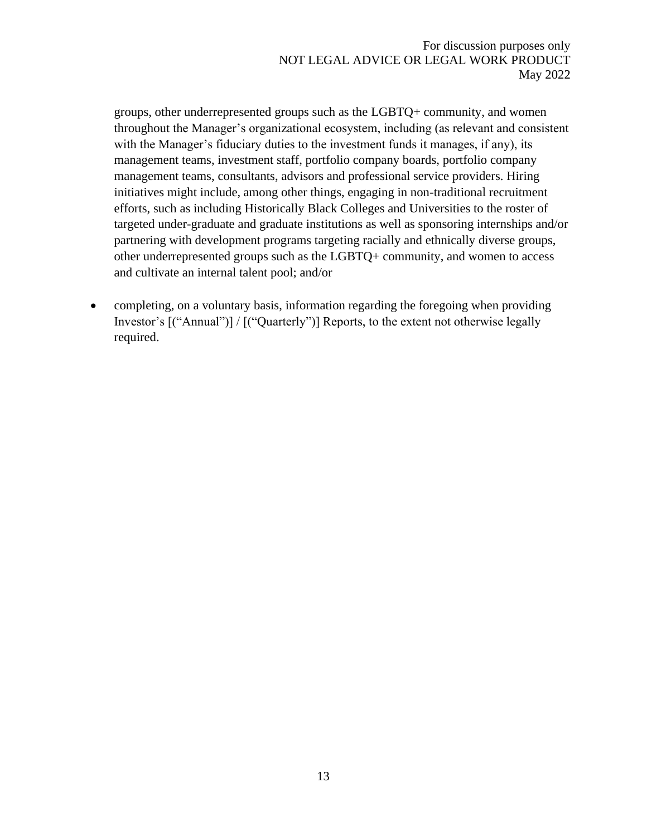groups, other underrepresented groups such as the LGBTQ+ community, and women throughout the Manager's organizational ecosystem, including (as relevant and consistent with the Manager's fiduciary duties to the investment funds it manages, if any), its management teams, investment staff, portfolio company boards, portfolio company management teams, consultants, advisors and professional service providers. Hiring initiatives might include, among other things, engaging in non-traditional recruitment efforts, such as including Historically Black Colleges and Universities to the roster of targeted under-graduate and graduate institutions as well as sponsoring internships and/or partnering with development programs targeting racially and ethnically diverse groups, other underrepresented groups such as the LGBTQ+ community, and women to access and cultivate an internal talent pool; and/or

• completing, on a voluntary basis, information regarding the foregoing when providing Investor's [("Annual")] / [("Quarterly")] Reports, to the extent not otherwise legally required.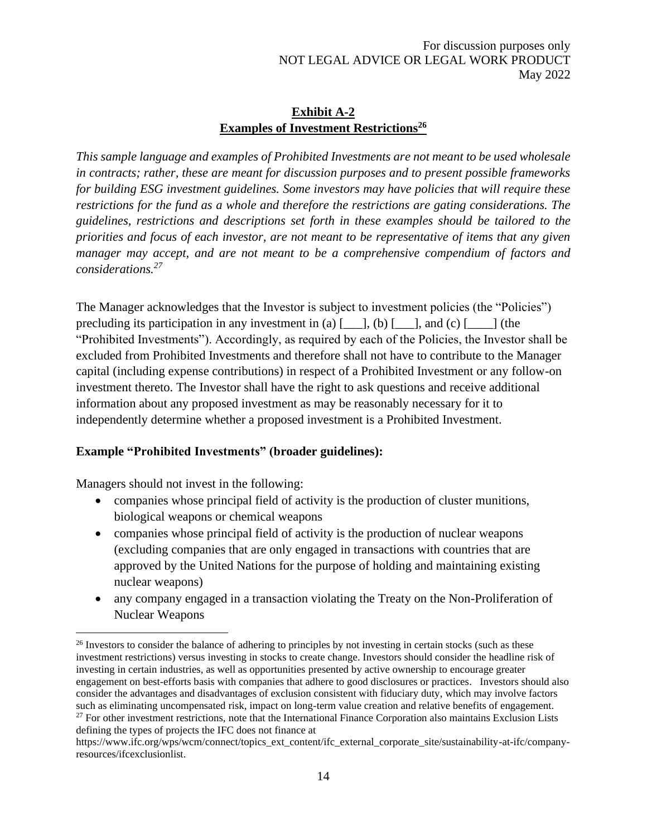#### **Exhibit A-2 Examples of Investment Restrictions<sup>26</sup>**

<span id="page-13-0"></span>*This sample language and examples of Prohibited Investments are not meant to be used wholesale in contracts; rather, these are meant for discussion purposes and to present possible frameworks for building ESG investment guidelines. Some investors may have policies that will require these restrictions for the fund as a whole and therefore the restrictions are gating considerations. The guidelines, restrictions and descriptions set forth in these examples should be tailored to the priorities and focus of each investor, are not meant to be representative of items that any given manager may accept, and are not meant to be a comprehensive compendium of factors and considerations.<sup>27</sup>*

The Manager acknowledges that the Investor is subject to investment policies (the "Policies") precluding its participation in any investment in (a)  $[\_\_\]$ , (b)  $[\_\_\]$ , and (c)  $[\_\_\]$  (the "Prohibited Investments"). Accordingly, as required by each of the Policies, the Investor shall be excluded from Prohibited Investments and therefore shall not have to contribute to the Manager capital (including expense contributions) in respect of a Prohibited Investment or any follow-on investment thereto. The Investor shall have the right to ask questions and receive additional information about any proposed investment as may be reasonably necessary for it to independently determine whether a proposed investment is a Prohibited Investment.

#### **Example "Prohibited Investments" (broader guidelines):**

Managers should not invest in the following:

- companies whose principal field of activity is the production of cluster munitions, biological weapons or chemical weapons
- companies whose principal field of activity is the production of nuclear weapons (excluding companies that are only engaged in transactions with countries that are approved by the United Nations for the purpose of holding and maintaining existing nuclear weapons)
- any company engaged in a transaction violating the Treaty on the Non-Proliferation of Nuclear Weapons

<sup>&</sup>lt;sup>26</sup> Investors to consider the balance of adhering to principles by not investing in certain stocks (such as these investment restrictions) versus investing in stocks to create change. Investors should consider the headline risk of investing in certain industries, as well as opportunities presented by active ownership to encourage greater engagement on best-efforts basis with companies that adhere to good disclosures or practices. Investors should also consider the advantages and disadvantages of exclusion consistent with fiduciary duty, which may involve factors such as eliminating uncompensated risk, impact on long-term value creation and relative benefits of engagement.  $27$  For other investment restrictions, note that the International Finance Corporation also maintains Exclusion Lists defining the types of projects the IFC does not finance at

https://www.ifc.org/wps/wcm/connect/topics\_ext\_content/ifc\_external\_corporate\_site/sustainability-at-ifc/companyresources/ifcexclusionlist.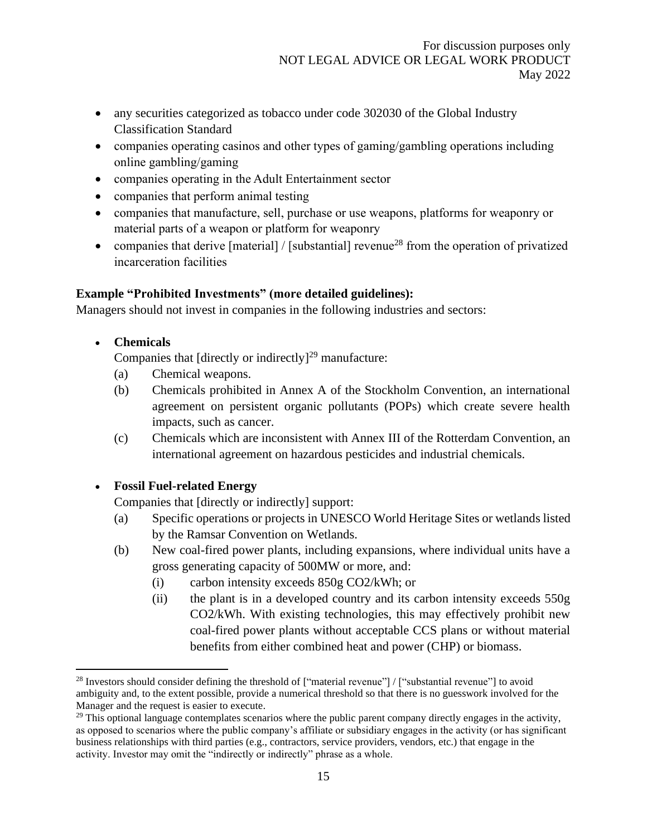- any securities categorized as tobacco under code 302030 of the Global Industry Classification Standard
- companies operating casinos and other types of gaming/gambling operations including online gambling/gaming
- companies operating in the Adult Entertainment sector
- companies that perform animal testing
- companies that manufacture, sell, purchase or use weapons, platforms for weaponry or material parts of a weapon or platform for weaponry
- companies that derive  $[material] / [substantial]$  revenue<sup>28</sup> from the operation of privatized incarceration facilities

# **Example "Prohibited Investments" (more detailed guidelines):**

Managers should not invest in companies in the following industries and sectors:

• **Chemicals**

Companies that [directly or indirectly]<sup>29</sup> manufacture:

- (a) Chemical weapons.
- (b) Chemicals prohibited in Annex A of the Stockholm Convention, an international agreement on persistent organic pollutants (POPs) which create severe health impacts, such as cancer.
- (c) Chemicals which are inconsistent with Annex III of the Rotterdam Convention, an international agreement on hazardous pesticides and industrial chemicals.

# • **Fossil Fuel-related Energy**

Companies that [directly or indirectly] support:

- (a) Specific operations or projects in UNESCO World Heritage Sites or wetlands listed by the Ramsar Convention on Wetlands.
- (b) New coal-fired power plants, including expansions, where individual units have a gross generating capacity of 500MW or more, and:
	- (i) carbon intensity exceeds 850g CO2/kWh; or
	- (ii) the plant is in a developed country and its carbon intensity exceeds 550g CO2/kWh. With existing technologies, this may effectively prohibit new coal-fired power plants without acceptable CCS plans or without material benefits from either combined heat and power (CHP) or biomass.

<sup>&</sup>lt;sup>28</sup> Investors should consider defining the threshold of ["material revenue"] / ["substantial revenue"] to avoid ambiguity and, to the extent possible, provide a numerical threshold so that there is no guesswork involved for the Manager and the request is easier to execute.

 $29$  This optional language contemplates scenarios where the public parent company directly engages in the activity, as opposed to scenarios where the public company's affiliate or subsidiary engages in the activity (or has significant business relationships with third parties (e.g., contractors, service providers, vendors, etc.) that engage in the activity. Investor may omit the "indirectly or indirectly" phrase as a whole.